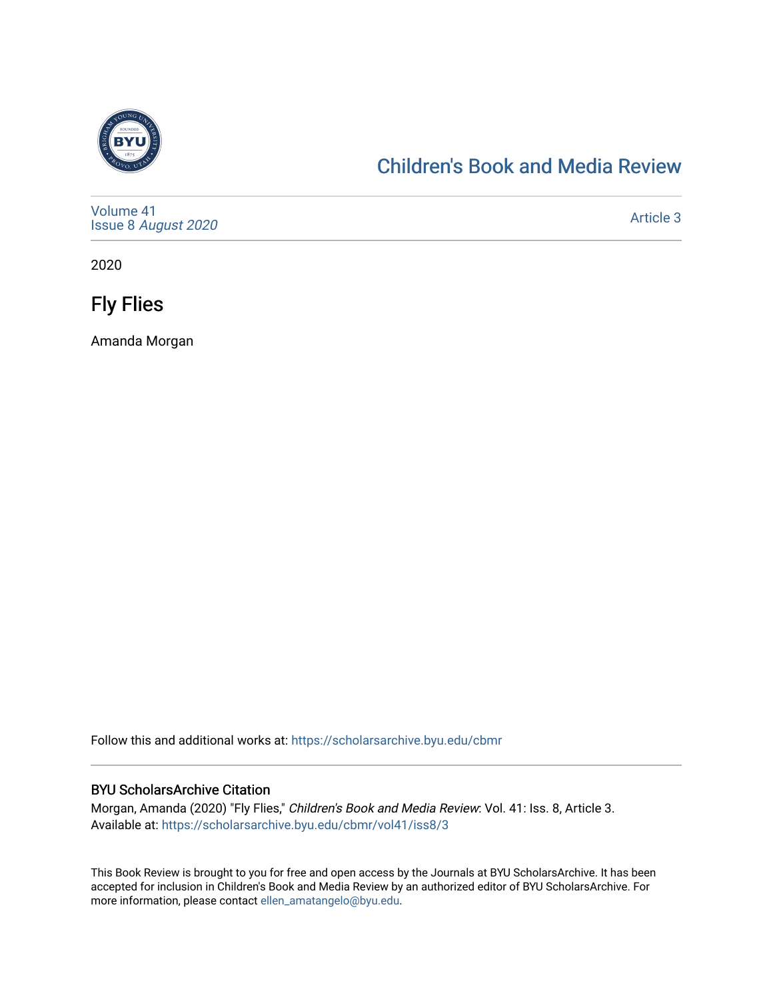

## [Children's Book and Media Review](https://scholarsarchive.byu.edu/cbmr)

[Volume 41](https://scholarsarchive.byu.edu/cbmr/vol41) Issue 8 [August 2020](https://scholarsarchive.byu.edu/cbmr/vol41/iss8) 

[Article 3](https://scholarsarchive.byu.edu/cbmr/vol41/iss8/3) 

2020

Fly Flies

Amanda Morgan

Follow this and additional works at: [https://scholarsarchive.byu.edu/cbmr](https://scholarsarchive.byu.edu/cbmr?utm_source=scholarsarchive.byu.edu%2Fcbmr%2Fvol41%2Fiss8%2F3&utm_medium=PDF&utm_campaign=PDFCoverPages) 

#### BYU ScholarsArchive Citation

Morgan, Amanda (2020) "Fly Flies," Children's Book and Media Review: Vol. 41: Iss. 8, Article 3. Available at: [https://scholarsarchive.byu.edu/cbmr/vol41/iss8/3](https://scholarsarchive.byu.edu/cbmr/vol41/iss8/3?utm_source=scholarsarchive.byu.edu%2Fcbmr%2Fvol41%2Fiss8%2F3&utm_medium=PDF&utm_campaign=PDFCoverPages) 

This Book Review is brought to you for free and open access by the Journals at BYU ScholarsArchive. It has been accepted for inclusion in Children's Book and Media Review by an authorized editor of BYU ScholarsArchive. For more information, please contact [ellen\\_amatangelo@byu.edu.](mailto:ellen_amatangelo@byu.edu)